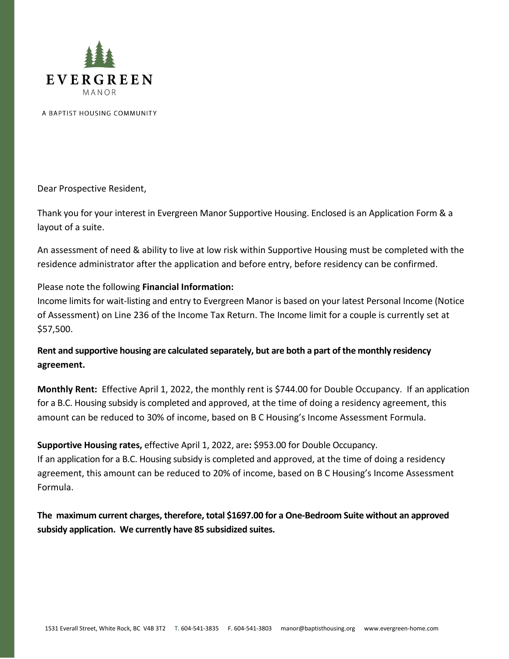

A BAPTIST HOUSING COMMUNITY

Dear Prospective Resident,

Thank you for your interest in Evergreen Manor Supportive Housing. Enclosed is an Application Form & a layout of a suite.

An assessment of need & ability to live at low risk within Supportive Housing must be completed with the residence administrator after the application and before entry, before residency can be confirmed.

## Please note the following **Financial Information:**

Income limits for wait-listing and entry to Evergreen Manor is based on your latest Personal Income (Notice of Assessment) on Line 236 of the Income Tax Return. The Income limit for a couple is currently set at \$57,500.

**Rent and supportive housing are calculated separately, but are both a part of the monthly residency agreement.**

**Monthly Rent:** Effective April 1, 2022, the monthly rent is \$744.00 for Double Occupancy. If an application for a B.C. Housing subsidy is completed and approved, at the time of doing a residency agreement, this amount can be reduced to 30% of income, based on B C Housing's Income Assessment Formula.

**Supportive Housing rates,** effective April 1, 2022, are**:** \$953.00 for Double Occupancy. If an application for a B.C. Housing subsidy is completed and approved, at the time of doing a residency agreement, this amount can be reduced to 20% of income, based on B C Housing's Income Assessment Formula.

**The maximum current charges, therefore, total \$1697.00 for a One-Bedroom Suite without an approved subsidy application. We currently have 85 subsidized suites.**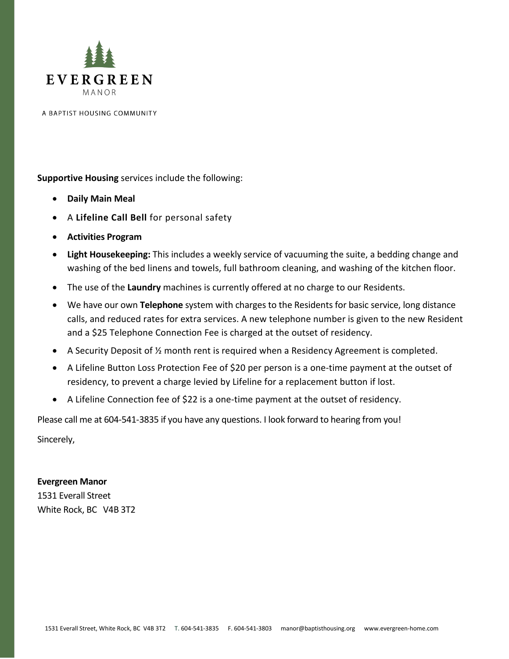

A BAPTIST HOUSING COMMUNITY

**Supportive Housing** services include the following:

- **Daily Main Meal**
- A **Lifeline Call Bell** for personal safety
- **Activities Program**
- **Light Housekeeping:** This includes a weekly service of vacuuming the suite, a bedding change and washing of the bed linens and towels, full bathroom cleaning, and washing of the kitchen floor.
- The use of the **Laundry** machines is currently offered at no charge to our Residents.
- We have our own **Telephone** system with charges to the Residents for basic service, long distance calls, and reduced rates for extra services. A new telephone number is given to the new Resident and a \$25 Telephone Connection Fee is charged at the outset of residency.
- A Security Deposit of ½ month rent is required when a Residency Agreement is completed.
- A Lifeline Button Loss Protection Fee of \$20 per person is a one-time payment at the outset of residency, to prevent a charge levied by Lifeline for a replacement button if lost.
- A Lifeline Connection fee of \$22 is a one-time payment at the outset of residency.

Please call me at 604-541-3835 if you have any questions. I look forward to hearing from you!

Sincerely,

**Evergreen Manor** 1531 Everall Street White Rock, BC V4B 3T2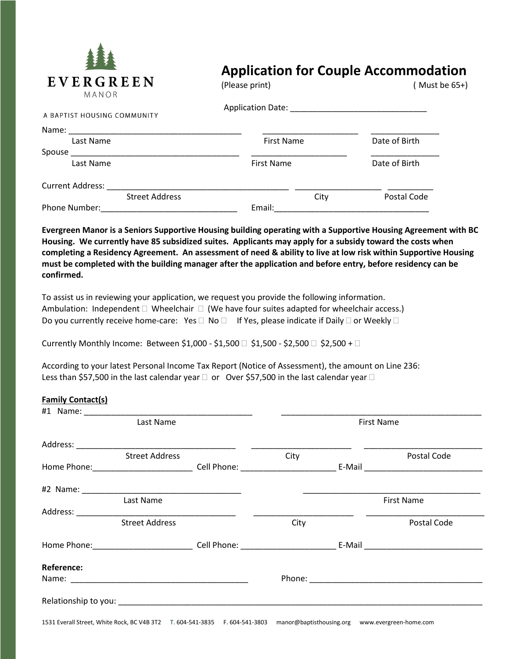

## **Application for Couple Accommodation**

| L V L K U K L L IV<br>MANOR | (Please print)    | (Must be 65+) |  |
|-----------------------------|-------------------|---------------|--|
| A BAPTIST HOUSING COMMUNITY |                   |               |  |
|                             |                   |               |  |
| Last Name                   | <b>First Name</b> | Date of Birth |  |
| Spouse                      |                   |               |  |
| Last Name                   | <b>First Name</b> | Date of Birth |  |
| <b>Current Address:</b>     |                   |               |  |
| <b>Street Address</b>       | City              | Postal Code   |  |
| Phone Number:               | Email:            |               |  |

**Evergreen Manor is a Seniors Supportive Housing building operating with a Supportive Housing Agreement with BC Housing. We currently have 85 subsidized suites. Applicants may apply for a subsidy toward the costs when completing a Residency Agreement. An assessment of need & ability to live at low risk within Supportive Housing must be completed with the building manager after the application and before entry, before residency can be confirmed.** 

To assist us in reviewing your application, we request you provide the following information. Ambulation: Independent  $\Box$  Wheelchair  $\Box$  (We have four suites adapted for wheelchair access.) Do you currently receive home-care: Yes  $\Box$  No  $\Box$  If Yes, please indicate if Daily  $\Box$  or Weekly  $\Box$ 

Currently Monthly Income: Between \$1,000 - \$1,500  $\Box$  \$1,500 - \$2,500  $\Box$  \$2,500 +  $\Box$ 

According to your latest Personal Income Tax Report (Notice of Assessment), the amount on Line 236: Less than \$57,500 in the last calendar year  $\Box$  or Over \$57,500 in the last calendar year  $\Box$ 

## **Family Contact(s)**

| Last Name         |                       | <b>First Name</b> |                   |  |             |
|-------------------|-----------------------|-------------------|-------------------|--|-------------|
|                   |                       |                   |                   |  |             |
|                   | <b>Street Address</b> |                   | City              |  | Postal Code |
|                   |                       |                   |                   |  |             |
|                   |                       |                   |                   |  |             |
|                   | Last Name             |                   | <b>First Name</b> |  |             |
|                   |                       |                   |                   |  |             |
|                   | <b>Street Address</b> |                   | City              |  | Postal Code |
|                   |                       |                   |                   |  |             |
| <b>Reference:</b> |                       |                   |                   |  |             |
|                   |                       |                   |                   |  |             |